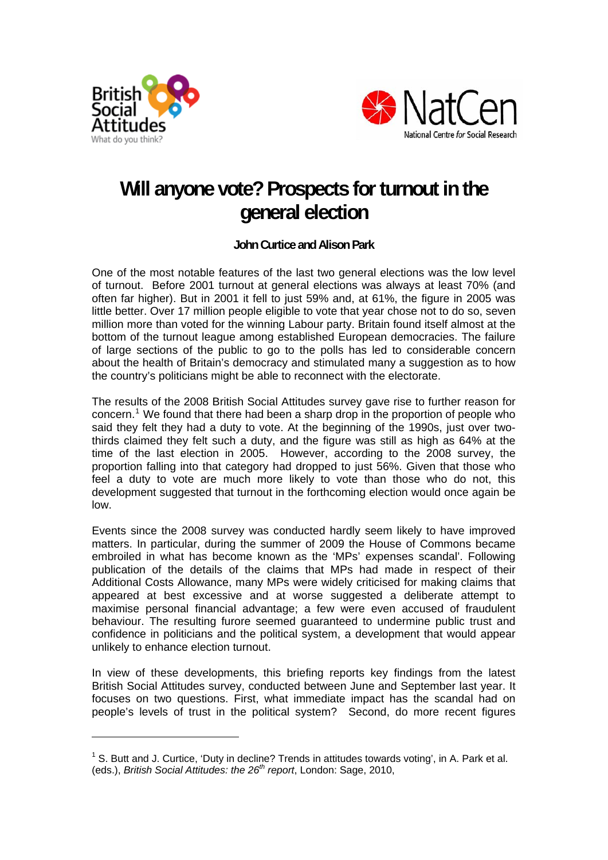



# **Will anyone vote? Prospects for turnout in the general election**

**John Curtice and Alison Park** 

One of the most notable features of the last two general elections was the low level of turnout. Before 2001 turnout at general elections was always at least 70% (and often far higher). But in 2001 it fell to just 59% and, at 61%, the figure in 2005 was little better. Over 17 million people eligible to vote that year chose not to do so, seven million more than voted for the winning Labour party. Britain found itself almost at the bottom of the turnout league among established European democracies. The failure of large sections of the public to go to the polls has led to considerable concern about the health of Britain's democracy and stimulated many a suggestion as to how the country's politicians might be able to reconnect with the electorate.

The results of the 2008 British Social Attitudes survey gave rise to further reason for concern.<sup>[1](#page-0-0)</sup> We found that there had been a sharp drop in the proportion of people who said they felt they had a duty to vote. At the beginning of the 1990s, just over twothirds claimed they felt such a duty, and the figure was still as high as 64% at the time of the last election in 2005. However, according to the 2008 survey, the proportion falling into that category had dropped to just 56%. Given that those who feel a duty to vote are much more likely to vote than those who do not, this development suggested that turnout in the forthcoming election would once again be low.

Events since the 2008 survey was conducted hardly seem likely to have improved matters. In particular, during the summer of 2009 the House of Commons became embroiled in what has become known as the 'MPs' expenses scandal'. Following publication of the details of the claims that MPs had made in respect of their Additional Costs Allowance, many MPs were widely criticised for making claims that appeared at best excessive and at worse suggested a deliberate attempt to maximise personal financial advantage; a few were even accused of fraudulent behaviour. The resulting furore seemed guaranteed to undermine public trust and confidence in politicians and the political system, a development that would appear unlikely to enhance election turnout.

In view of these developments, this briefing reports key findings from the latest British Social Attitudes survey, conducted between June and September last year. It focuses on two questions. First, what immediate impact has the scandal had on people's levels of trust in the political system? Second, do more recent figures

<span id="page-0-0"></span> $1$  S. Butt and J. Curtice, 'Duty in decline? Trends in attitudes towards voting', in A. Park et al. (eds.), *British Social Attitudes: the 26th report*, London: Sage, 2010,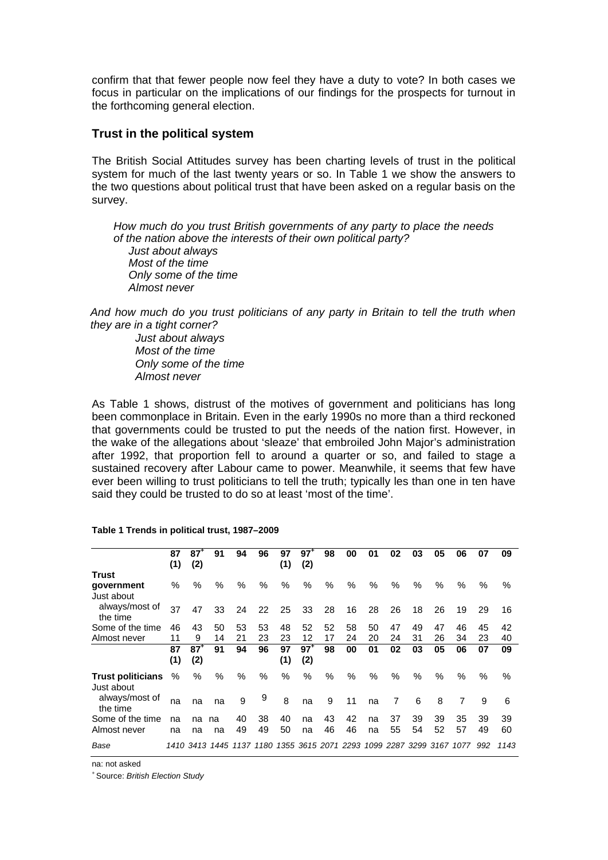confirm that that fewer people now feel they have a duty to vote? In both cases we focus in particular on the implications of our findings for the prospects for turnout in the forthcoming general election.

## **Trust in the political system**

The British Social Attitudes survey has been charting levels of trust in the political system for much of the last twenty years or so. In Table 1 we show the answers to the two questions about political trust that have been asked on a regular basis on the survey.

*How much do you trust British governments of any party to place the needs of the nation above the interests of their own political party? Just about always Most of the time Only some of the time Almost never* 

*And how much do you trust politicians of any party in Britain to tell the truth when they are in a tight corner?* 

> *Just about always Most of the time Only some of the time Almost never*

As Table 1 shows, distrust of the motives of government and politicians has long been commonplace in Britain. Even in the early 1990s no more than a third reckoned that governments could be trusted to put the needs of the nation first. However, in the wake of the allegations about 'sleaze' that embroiled John Major's administration after 1992, that proportion fell to around a quarter or so, and failed to stage a sustained recovery after Labour came to power. Meanwhile, it seems that few have ever been willing to trust politicians to tell the truth; typically les than one in ten have said they could be trusted to do so at least 'most of the time'.

|                                        | 87   | $87^{\circ}$ | 91             | 94   | 96        | 97   | $97^+$ | 98   | 00                                      | 01   | 02   | 03   | 05   | 06   | 07   | 09   |
|----------------------------------------|------|--------------|----------------|------|-----------|------|--------|------|-----------------------------------------|------|------|------|------|------|------|------|
|                                        | (1)  | (2)          |                |      |           | (1)  | (2)    |      |                                         |      |      |      |      |      |      |      |
| <b>Trust</b>                           |      |              |                |      |           |      |        |      |                                         |      |      |      |      |      |      |      |
| qovernment<br>Just about               | %    | %            | $\%$           | $\%$ | $\%$      | $\%$ | %      | $\%$ | $\%$                                    | %    | %    | %    | $\%$ | %    | $\%$ | $\%$ |
| always/most of<br>the time             | 37   | 47           | 33             | 24   | 22        | 25   | 33     | 28   | 16                                      | 28   | 26   | 18   | 26   | 19   | 29   | 16   |
| Some of the time                       | 46   | 43           | 50             | 53   | 53        | 48   | 52     | 52   | 58                                      | 50   | 47   | 49   | 47   | 46   | 45   | 42   |
| Almost never                           | 11   | 9            | 14             | 21   | 23        | 23   | 12     | 17   | 24                                      | 20   | 24   | 31   | 26   | 34   | 23   | 40   |
|                                        | 87   | $87+$        | 91             | 94   | 96        | 97   | $97^+$ | 98   | 00                                      | 01   | 02   | 03   | 05   | 06   | 07   | 09   |
|                                        | (1)  | (2)          |                |      |           | (1)  | (2)    |      |                                         |      |      |      |      |      |      |      |
| <b>Trust politicians</b><br>Just about | $\%$ | $\%$         | %              | $\%$ | $\%$      | %    | %      | %    | $\%$                                    | $\%$ | $\%$ | $\%$ | $\%$ | $\%$ | $\%$ | $\%$ |
| always/most of<br>the time             | na   | na           | na             | 9    | 9         | 8    | na     | 9    | 11                                      | na   | 7    | 6    | 8    | 7    | 9    | 6    |
| Some of the time                       | na   | na           | na             | 40   | 38        | 40   | na     | 43   | 42                                      | na   | 37   | 39   | 39   | 35   | 39   | 39   |
| Almost never                           | na   | na           | na             | 49   | 49        | 50   | na     | 46   | 46                                      | na   | 55   | 54   | 52   | 57   | 49   | 60   |
| Base                                   |      |              | 1410 3413 1445 |      | 1137 1180 |      |        |      | 1355 3615 2071 2293 1099 2287 3299 3167 |      |      |      |      | 1077 | 992  | 1143 |

#### **Table 1 Trends in political trust, 1987–2009**

na: not asked

+ Source: *British Election Study*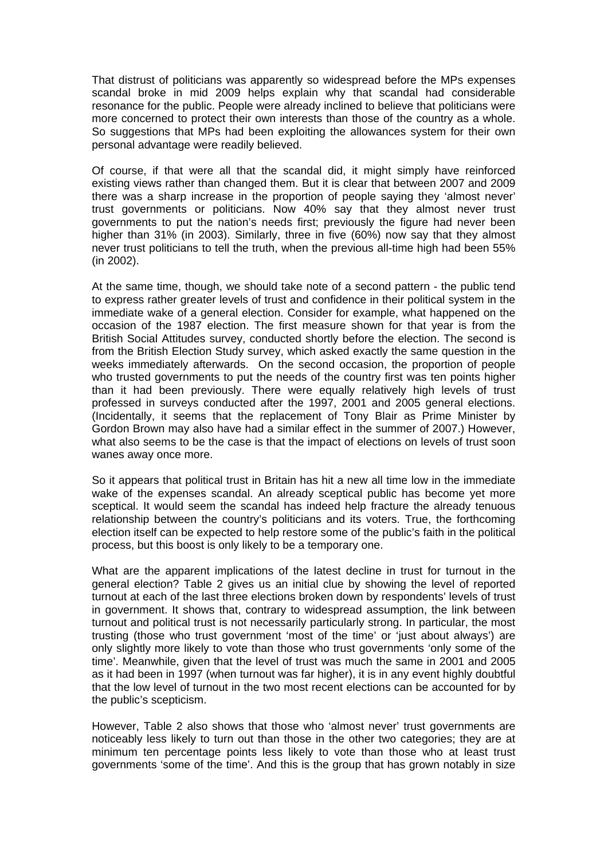That distrust of politicians was apparently so widespread before the MPs expenses scandal broke in mid 2009 helps explain why that scandal had considerable resonance for the public. People were already inclined to believe that politicians were more concerned to protect their own interests than those of the country as a whole. So suggestions that MPs had been exploiting the allowances system for their own personal advantage were readily believed.

Of course, if that were all that the scandal did, it might simply have reinforced existing views rather than changed them. But it is clear that between 2007 and 2009 there was a sharp increase in the proportion of people saying they 'almost never' trust governments or politicians. Now 40% say that they almost never trust governments to put the nation's needs first; previously the figure had never been higher than 31% (in 2003). Similarly, three in five (60%) now say that they almost never trust politicians to tell the truth, when the previous all-time high had been 55% (in 2002).

At the same time, though, we should take note of a second pattern - the public tend to express rather greater levels of trust and confidence in their political system in the immediate wake of a general election. Consider for example, what happened on the occasion of the 1987 election. The first measure shown for that year is from the British Social Attitudes survey, conducted shortly before the election. The second is from the British Election Study survey, which asked exactly the same question in the weeks immediately afterwards. On the second occasion, the proportion of people who trusted governments to put the needs of the country first was ten points higher than it had been previously. There were equally relatively high levels of trust professed in surveys conducted after the 1997, 2001 and 2005 general elections. (Incidentally, it seems that the replacement of Tony Blair as Prime Minister by Gordon Brown may also have had a similar effect in the summer of 2007.) However, what also seems to be the case is that the impact of elections on levels of trust soon wanes away once more.

So it appears that political trust in Britain has hit a new all time low in the immediate wake of the expenses scandal. An already sceptical public has become yet more sceptical. It would seem the scandal has indeed help fracture the already tenuous relationship between the country's politicians and its voters. True, the forthcoming election itself can be expected to help restore some of the public's faith in the political process, but this boost is only likely to be a temporary one.

What are the apparent implications of the latest decline in trust for turnout in the general election? Table 2 gives us an initial clue by showing the level of reported turnout at each of the last three elections broken down by respondents' levels of trust in government. It shows that, contrary to widespread assumption, the link between turnout and political trust is not necessarily particularly strong. In particular, the most trusting (those who trust government 'most of the time' or 'just about always') are only slightly more likely to vote than those who trust governments 'only some of the time'. Meanwhile, given that the level of trust was much the same in 2001 and 2005 as it had been in 1997 (when turnout was far higher), it is in any event highly doubtful that the low level of turnout in the two most recent elections can be accounted for by the public's scepticism.

However, Table 2 also shows that those who 'almost never' trust governments are noticeably less likely to turn out than those in the other two categories; they are at minimum ten percentage points less likely to vote than those who at least trust governments 'some of the time'. And this is the group that has grown notably in size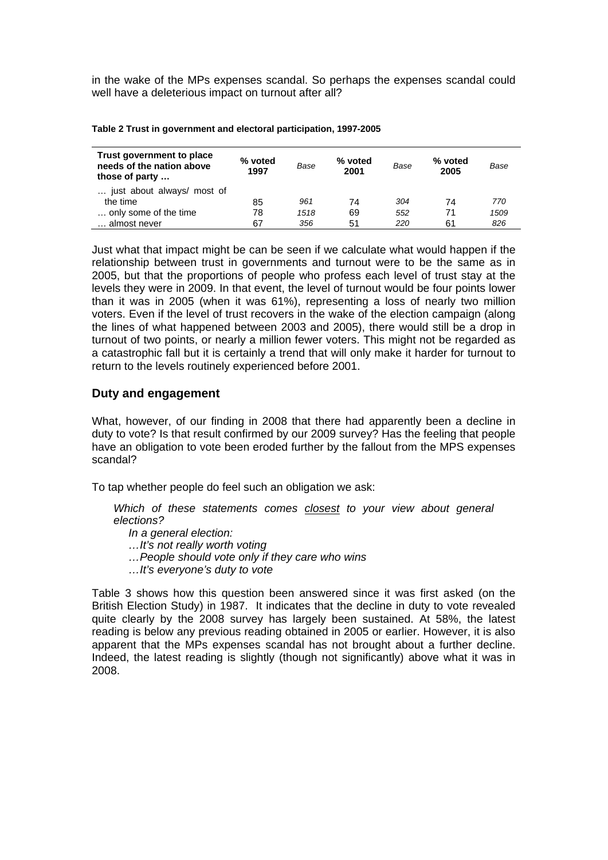in the wake of the MPs expenses scandal. So perhaps the expenses scandal could well have a deleterious impact on turnout after all?

| Trust government to place<br>needs of the nation above<br>those of party | % voted<br>1997 | Base | % voted<br>2001 | Base | % voted<br>2005 | Base |
|--------------------------------------------------------------------------|-----------------|------|-----------------|------|-----------------|------|
| just about always/ most of                                               |                 |      |                 |      |                 |      |
| the time                                                                 | 85              | 961  | 74              | 304  | 74              | 770  |
| only some of the time                                                    | 78              | 1518 | 69              | 552  | 71              | 1509 |
| almost never                                                             | 67              | 356  | 51              | 220  | 61              | 826  |

**Table 2 Trust in government and electoral participation, 1997-2005** 

Just what that impact might be can be seen if we calculate what would happen if the relationship between trust in governments and turnout were to be the same as in 2005, but that the proportions of people who profess each level of trust stay at the levels they were in 2009. In that event, the level of turnout would be four points lower than it was in 2005 (when it was 61%), representing a loss of nearly two million voters. Even if the level of trust recovers in the wake of the election campaign (along the lines of what happened between 2003 and 2005), there would still be a drop in turnout of two points, or nearly a million fewer voters. This might not be regarded as a catastrophic fall but it is certainly a trend that will only make it harder for turnout to return to the levels routinely experienced before 2001.

# **Duty and engagement**

What, however, of our finding in 2008 that there had apparently been a decline in duty to vote? Is that result confirmed by our 2009 survey? Has the feeling that people have an obligation to vote been eroded further by the fallout from the MPS expenses scandal?

To tap whether people do feel such an obligation we ask:

*Which of these statements comes closest to your view about general elections?* 

 *In a general election: …It's not really worth voting …People should vote only if they care who wins …It's everyone's duty to vote* 

Table 3 shows how this question been answered since it was first asked (on the British Election Study) in 1987. It indicates that the decline in duty to vote revealed quite clearly by the 2008 survey has largely been sustained. At 58%, the latest reading is below any previous reading obtained in 2005 or earlier. However, it is also apparent that the MPs expenses scandal has not brought about a further decline. Indeed, the latest reading is slightly (though not significantly) above what it was in 2008.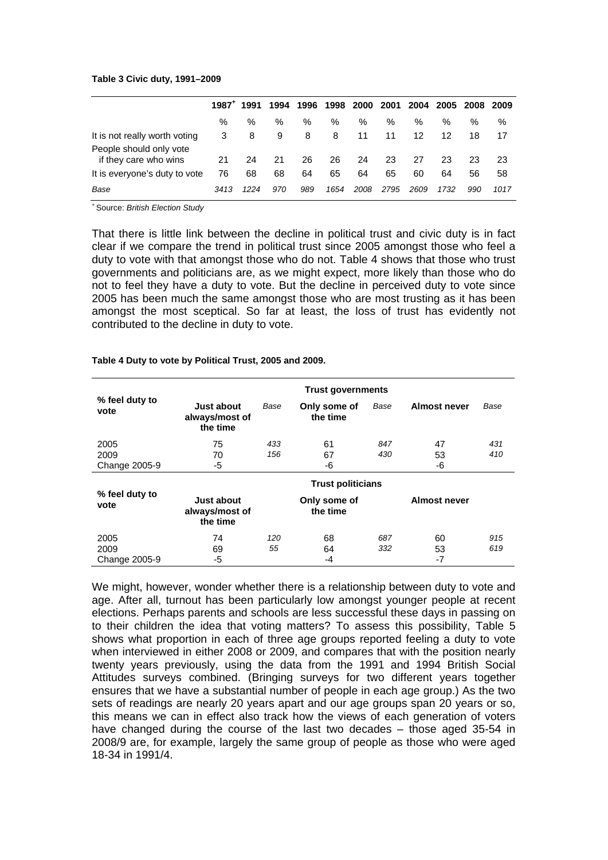### **Table 3 Civic duty, 1991–2009**

|                                                  | $1987^+$ | 1991 | 1994 | 1996 |      |      |      |      |      | 1998 2000 2001 2004 2005 2008 2009 |      |
|--------------------------------------------------|----------|------|------|------|------|------|------|------|------|------------------------------------|------|
|                                                  | %        | $\%$ | ℅    | %    | %    | %    | $\%$ | %    | %    | $\%$                               | $\%$ |
| It is not really worth voting                    | 3        | 8    | 9    | 8    | 8    | 11   | 11   | 12   | 12   | 18                                 | 17   |
| People should only vote<br>if they care who wins | 21       | 24   | 21   | 26   | 26   | 24   | 23   | 27   | 23   | 23                                 | 23   |
| It is everyone's duty to vote                    | 76       | 68   | 68   | 64   | 65   | 64   | 65   | 60   | 64   | 56                                 | 58   |
| Base                                             | 3413     | 1224 | 970  | 989  | 1654 | 2008 | 2795 | 2609 | 1732 | 990                                | 1017 |

+ Source: *British Election Study*

That there is little link between the decline in political trust and civic duty is in fact clear if we compare the trend in political trust since 2005 amongst those who feel a duty to vote with that amongst those who do not. Table 4 shows that those who trust governments and politicians are, as we might expect, more likely than those who do not to feel they have a duty to vote. But the decline in perceived duty to vote since 2005 has been much the same amongst those who are most trusting as it has been amongst the most sceptical. So far at least, the loss of trust has evidently not contributed to the decline in duty to vote.

|  |  |  | Table 4 Duty to vote by Political Trust, 2005 and 2009. |
|--|--|--|---------------------------------------------------------|
|--|--|--|---------------------------------------------------------|

|                        | <b>Trust governments</b>                        |      |                          |      |                     |      |  |  |  |
|------------------------|-------------------------------------------------|------|--------------------------|------|---------------------|------|--|--|--|
| % feel duty to<br>vote | <b>Just about</b><br>always/most of<br>the time | Base | Only some of<br>the time | Base | Almost never        | Base |  |  |  |
| 2005                   | 75                                              | 433  | 61                       | 847  | 47                  | 431  |  |  |  |
| 2009                   | 70                                              | 156  | 67                       | 430  | 53                  | 410  |  |  |  |
| Change 2005-9          | -5                                              |      | -6                       |      | -6                  |      |  |  |  |
|                        | <b>Trust politicians</b>                        |      |                          |      |                     |      |  |  |  |
| % feel duty to<br>vote | Just about<br>always/most of<br>the time        |      | Only some of<br>the time |      | <b>Almost never</b> |      |  |  |  |
| 2005                   | 74                                              | 120  | 68                       | 687  | 60                  | 915  |  |  |  |
| 2009                   | 69                                              | 55   | 64                       | 332  | 53                  | 619  |  |  |  |
| Change 2005-9          | -5                                              |      | -4                       |      | $-7$                |      |  |  |  |

We might, however, wonder whether there is a relationship between duty to vote and age. After all, turnout has been particularly low amongst younger people at recent elections. Perhaps parents and schools are less successful these days in passing on to their children the idea that voting matters? To assess this possibility, Table 5 shows what proportion in each of three age groups reported feeling a duty to vote when interviewed in either 2008 or 2009, and compares that with the position nearly twenty years previously, using the data from the 1991 and 1994 British Social Attitudes surveys combined. (Bringing surveys for two different years together ensures that we have a substantial number of people in each age group.) As the two sets of readings are nearly 20 years apart and our age groups span 20 years or so, this means we can in effect also track how the views of each generation of voters have changed during the course of the last two decades – those aged 35-54 in 2008/9 are, for example, largely the same group of people as those who were aged 18-34 in 1991/4.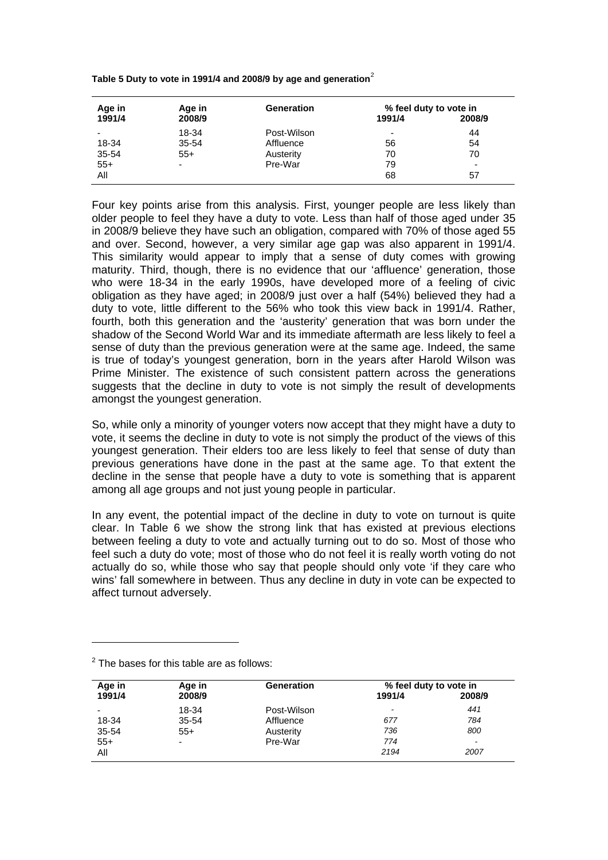**Table 5 Duty to vote in 1991/4 and 2008/9 by age and generation**[2](#page-5-0)

| Age in | Age in                   | Generation  | % feel duty to vote in   |        |  |  |
|--------|--------------------------|-------------|--------------------------|--------|--|--|
| 1991/4 | 2008/9                   |             | 1991/4                   | 2008/9 |  |  |
|        | 18-34                    | Post-Wilson | $\overline{\phantom{a}}$ | 44     |  |  |
| 18-34  | 35-54                    | Affluence   | 56                       | 54     |  |  |
| 35-54  | $55+$                    | Austerity   | 70                       | 70     |  |  |
| $55+$  | $\overline{\phantom{0}}$ | Pre-War     | 79                       | ۰      |  |  |
| All    |                          |             | 68                       | 57     |  |  |

Four key points arise from this analysis. First, younger people are less likely than older people to feel they have a duty to vote. Less than half of those aged under 35 in 2008/9 believe they have such an obligation, compared with 70% of those aged 55 and over. Second, however, a very similar age gap was also apparent in 1991/4. This similarity would appear to imply that a sense of duty comes with growing maturity. Third, though, there is no evidence that our 'affluence' generation, those who were 18-34 in the early 1990s, have developed more of a feeling of civic obligation as they have aged; in 2008/9 just over a half (54%) believed they had a duty to vote, little different to the 56% who took this view back in 1991/4. Rather, fourth, both this generation and the 'austerity' generation that was born under the shadow of the Second World War and its immediate aftermath are less likely to feel a sense of duty than the previous generation were at the same age. Indeed, the same is true of today's youngest generation, born in the years after Harold Wilson was Prime Minister. The existence of such consistent pattern across the generations suggests that the decline in duty to vote is not simply the result of developments amongst the youngest generation.

So, while only a minority of younger voters now accept that they might have a duty to vote, it seems the decline in duty to vote is not simply the product of the views of this youngest generation. Their elders too are less likely to feel that sense of duty than previous generations have done in the past at the same age. To that extent the decline in the sense that people have a duty to vote is something that is apparent among all age groups and not just young people in particular.

In any event, the potential impact of the decline in duty to vote on turnout is quite clear. In Table 6 we show the strong link that has existed at previous elections between feeling a duty to vote and actually turning out to do so. Most of those who feel such a duty do vote; most of those who do not feel it is really worth voting do not actually do so, while those who say that people should only vote 'if they care who wins' fall somewhere in between. Thus any decline in duty in vote can be expected to affect turnout adversely.

| Age in | Age in                   | <b>Generation</b> | % feel duty to vote in |                          |  |
|--------|--------------------------|-------------------|------------------------|--------------------------|--|
| 1991/4 | 2008/9                   |                   | 1991/4                 | 2008/9                   |  |
|        | 18-34                    | Post-Wilson       | -                      | 441                      |  |
| 18-34  | 35-54                    | Affluence         | 677                    | 784                      |  |
| 35-54  | $55+$                    | Austerity         | 736                    | 800                      |  |
| $55+$  | $\overline{\phantom{0}}$ | Pre-War           | 774                    | $\overline{\phantom{a}}$ |  |
| Αll    |                          |                   | 2194                   | 2007                     |  |

<span id="page-5-0"></span> $2$  The bases for this table are as follows: